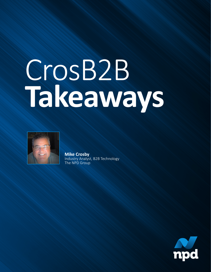# CrosB2B **Takeaways**



**Mike Crosby** Industry Analyst, B2B Technology The NPD Group